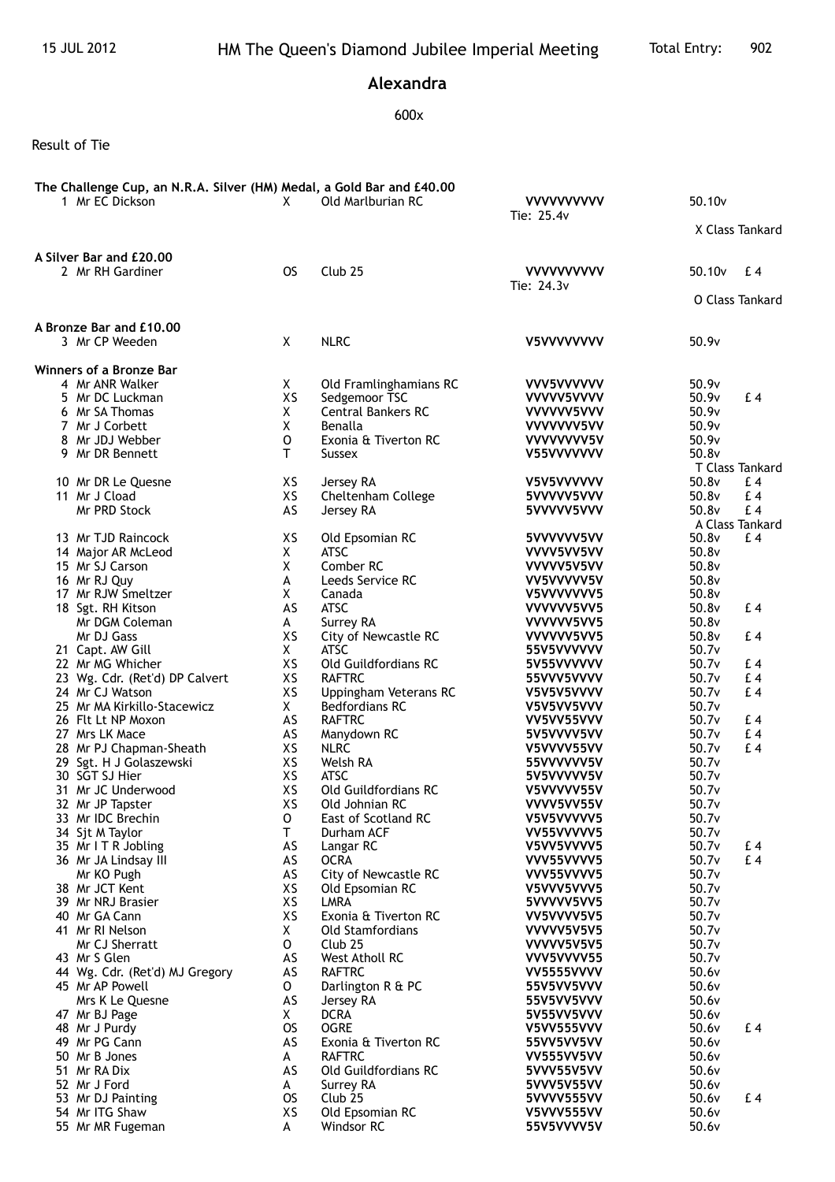## **Alexandra**

## 600x

Result of Tie

| The Challenge Cup, an N.R.A. Silver (HM) Medal, a Gold Bar and £40.00<br>1 Mr EC Dickson | X         | Old Marlburian RC                     | <b>VVVVVVVVVV</b><br>Tie: 25.4v | 50.10 <sub>v</sub>                          |  |
|------------------------------------------------------------------------------------------|-----------|---------------------------------------|---------------------------------|---------------------------------------------|--|
|                                                                                          |           |                                       |                                 | X Class Tankard                             |  |
| A Silver Bar and £20.00<br>2 Mr RH Gardiner                                              | <b>OS</b> | Club <sub>25</sub>                    | <b>VVVVVVVVVV</b><br>Tie: 24.3v | 50.10 <sub>v</sub><br>£4<br>O Class Tankard |  |
| A Bronze Bar and £10.00                                                                  |           |                                       |                                 |                                             |  |
| 3 Mr CP Weeden                                                                           | X         | <b>NLRC</b>                           | V5VVVVVVVV                      | 50.9v                                       |  |
| Winners of a Bronze Bar                                                                  |           |                                       |                                 |                                             |  |
| 4 Mr ANR Walker                                                                          | X         | Old Framlinghamians RC                | VVV5VVVVVV                      | 50.9v                                       |  |
| 5 Mr DC Luckman                                                                          | XS        | Sedgemoor TSC                         | VVVVV5VVVV                      | 50.9v<br>£4                                 |  |
| 6 Mr SA Thomas                                                                           | Χ         | <b>Central Bankers RC</b>             | VVVVVV5VVV                      | 50.9v                                       |  |
| 7 Mr J Corbett                                                                           | X         | Benalla                               | VVVVVVV5VV                      | 50.9v                                       |  |
| 8 Mr JDJ Webber<br>9 Mr DR Bennett                                                       | O<br>T.   | Exonia & Tiverton RC<br><b>Sussex</b> | VVVVVVV5V                       | 50.9v<br>50.8v                              |  |
|                                                                                          |           |                                       | V55VVVVVVV                      | T Class Tankard                             |  |
| 10 Mr DR Le Quesne                                                                       | XS        | Jersey RA                             | V5V5VVVVVV                      | 50.8v<br>£4                                 |  |
| 11 Mr J Cload                                                                            | XS        | Cheltenham College                    | 5VVVVV5VVV                      | 50.8v<br>£ 4                                |  |
| Mr PRD Stock                                                                             | AS        | Jersey RA                             | 5VVVVV5VVV                      | £4<br>50.8v                                 |  |
|                                                                                          |           |                                       |                                 | A Class Tankard                             |  |
| 13 Mr TJD Raincock                                                                       | XS        | Old Epsomian RC                       | 5VVVVVV5VV                      | 50.8v<br>£4                                 |  |
| 14 Major AR McLeod                                                                       | X         | <b>ATSC</b>                           | VVVV5VV5VV                      | 50.8v                                       |  |
| 15 Mr SJ Carson                                                                          | X         | Comber RC                             | VVVVV5V5VV                      | 50.8v                                       |  |
| 16 Mr RJ Quy                                                                             | A         | Leeds Service RC                      | VV5VVVVV5V                      | 50.8v                                       |  |
| 17 Mr RJW Smeltzer                                                                       | X         | Canada                                | V5VVVVVVV5                      | 50.8v                                       |  |
| 18 Sgt. RH Kitson                                                                        | AS        | <b>ATSC</b>                           | VVVVVV5VV5                      | 50.8v<br>£4                                 |  |
| Mr DGM Coleman                                                                           | A         | Surrey RA                             | VVVVVV5VV5                      | 50.8v                                       |  |
| Mr DJ Gass                                                                               | XS        | City of Newcastle RC                  | VVVVVV5VV5                      | 50.8v<br>£4                                 |  |
| 21 Capt. AW Gill                                                                         | X         | <b>ATSC</b>                           | 55V5VVVVVV                      | 50.7v                                       |  |
| 22 Mr MG Whicher<br>23 Wg. Cdr. (Ret'd) DP Calvert                                       | XS<br>XS  | Old Guildfordians RC<br><b>RAFTRC</b> | 5V55VVVVVV<br>55VVV5VVVV        | 50.7v<br>£4<br>50.7v<br>£4                  |  |
| 24 Mr CJ Watson                                                                          | XS        | Uppingham Veterans RC                 | V5V5V5VVVV                      | 50.7v<br>£4                                 |  |
| 25 Mr MA Kirkillo-Stacewicz                                                              | X.        | <b>Bedfordians RC</b>                 | V5V5VV5VVV                      | 50.7v                                       |  |
| 26 Flt Lt NP Moxon                                                                       | AS        | <b>RAFTRC</b>                         | VV5VV55VVV                      | 50.7v<br>£4                                 |  |
| 27 Mrs LK Mace                                                                           | AS        | Manydown RC                           | 5V5VVVV5VV                      | 50.7v<br>£4                                 |  |
| 28 Mr PJ Chapman-Sheath                                                                  | XS        | <b>NLRC</b>                           | V5VVVV55VV                      | £4<br>50.7v                                 |  |
| 29 Sgt. H J Golaszewski                                                                  | XS        | Welsh RA                              | 55VVVVVV5V                      | 50.7v                                       |  |
| 30 SGT SJ Hier                                                                           | XS        | <b>ATSC</b>                           | 5V5VVVVV5V                      | 50.7v                                       |  |
| 31 Mr JC Underwood                                                                       | XS        | Old Guildfordians RC                  | V5VVVVV55V                      | 50.7v                                       |  |
| 32 Mr JP Tapster                                                                         | XS        | Old Johnian RC                        | VVVV5VV55V                      | 50.7v                                       |  |
| 33 Mr IDC Brechin                                                                        | o         | East of Scotland RC                   | V5V5VVVVV5                      | 50.7v                                       |  |
| 34 Sjt M Taylor                                                                          | T         | Durham ACF                            | VV55VVVVV5                      | 50.7v                                       |  |
| 35 Mr I T R Jobling                                                                      | AS        | Langar RC                             | V5VV5VVVV5                      | 50.7v<br>$E_4$                              |  |
| 36 Mr JA Lindsay III                                                                     | AS        | <b>OCRA</b>                           | VVV55VVVV5                      | 50.7v<br>£4                                 |  |
| Mr KO Pugh                                                                               | AS        | City of Newcastle RC                  | VVV55VVVV5                      | 50.7v                                       |  |
| 38 Mr JCT Kent<br>39 Mr NRJ Brasier                                                      | XS<br>XS  | Old Epsomian RC<br>LMRA               | V5VVV5VVV5                      | 50.7v<br>50.7v                              |  |
| 40 Mr GA Cann                                                                            | XS        | Exonia & Tiverton RC                  | 5VVVVV5VV5<br>VV5VVVV5V5        | 50.7v                                       |  |
| 41 Mr RI Nelson                                                                          | X         | <b>Old Stamfordians</b>               | VVVVV5V5V5                      | 50.7v                                       |  |
| Mr CJ Sherratt                                                                           | 0         | Club <sub>25</sub>                    | VVVVV5V5V5                      | 50.7v                                       |  |
| 43 Mr S Glen                                                                             | AS        | West Atholl RC                        | VVV5VVVV55                      | 50.7v                                       |  |
| 44 Wg. Cdr. (Ret'd) MJ Gregory                                                           | AS        | <b>RAFTRC</b>                         | VV5555VVVV                      | 50.6v                                       |  |
| 45 Mr AP Powell                                                                          | 0         | Darlington R & PC                     | 55V5VV5VVV                      | 50.6v                                       |  |
| Mrs K Le Quesne                                                                          | AS        | Jersey RA                             | 55V5VV5VVV                      | 50.6v                                       |  |
| 47 Mr BJ Page                                                                            | X         | <b>DCRA</b>                           | 5V55VV5VVV                      | 50.6v                                       |  |
| 48 Mr J Purdy                                                                            | <b>OS</b> | <b>OGRE</b>                           | <b>V5VV555VVV</b>               | 50.6v<br>£4                                 |  |
| 49 Mr PG Cann                                                                            | AS        | Exonia & Tiverton RC                  | 55VV5VV5VV                      | 50.6v                                       |  |
| 50 Mr B Jones                                                                            | A         | <b>RAFTRC</b>                         | VV555VV5VV                      | 50.6v                                       |  |
| 51 Mr RA Dix                                                                             | AS        | Old Guildfordians RC                  | 5VVV55V5VV                      | 50.6v                                       |  |
| 52 Mr J Ford                                                                             | A         | Surrey RA                             | 5VVV5V55VV                      | 50.6v                                       |  |
| 53 Mr DJ Painting                                                                        | <b>OS</b> | Club <sub>25</sub>                    | 5VVVV555VV                      | 50.6v<br>£4                                 |  |
| 54 Mr ITG Shaw                                                                           | XS        | Old Epsomian RC                       | V5VVV555VV                      | 50.6v                                       |  |
| 55 Mr MR Fugeman                                                                         | A         | Windsor RC                            | 55V5VVVV5V                      | 50.6v                                       |  |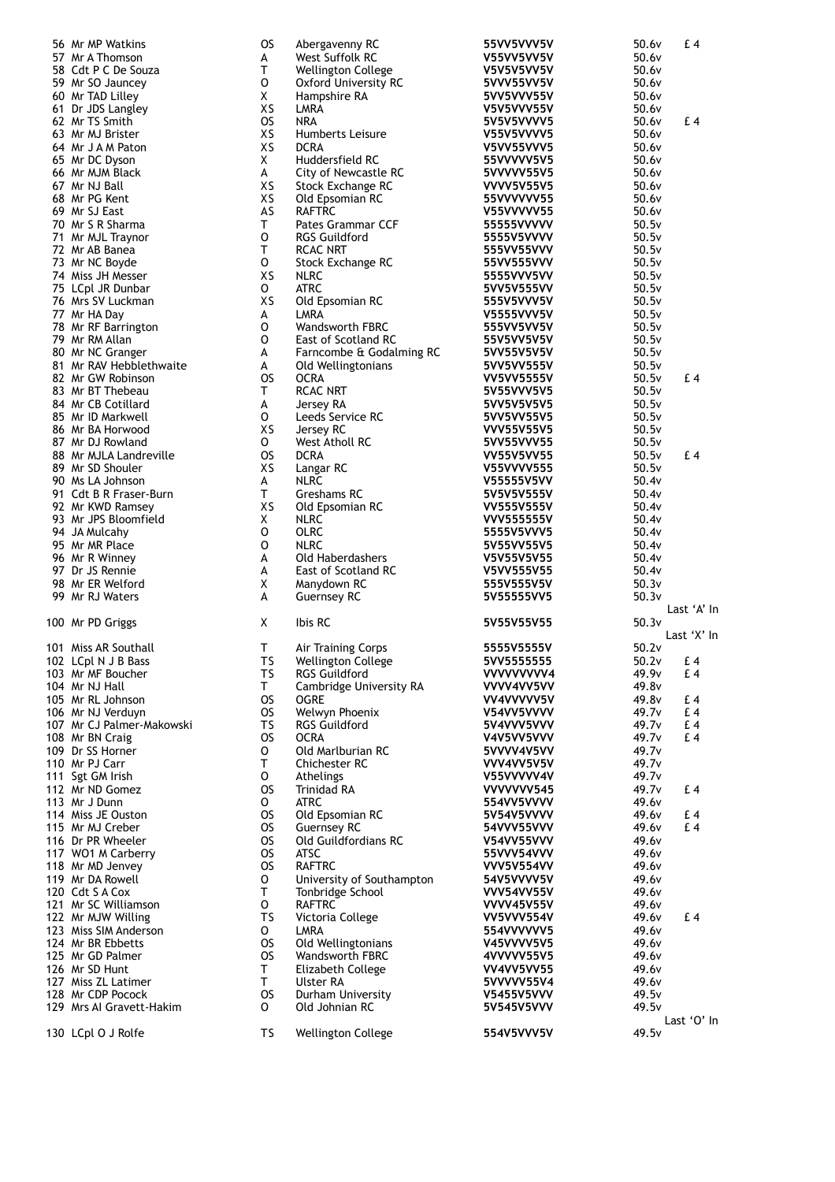| 56 Mr MP Watkins          | OS        | Abergavenny RC              | 55VV5VVV5V        | 50.6v             | f.4         |
|---------------------------|-----------|-----------------------------|-------------------|-------------------|-------------|
| 57 Mr A Thomson           | А         | West Suffolk RC             | V55VV5VV5V        | 50.6v             |             |
|                           |           |                             |                   |                   |             |
| 58 Cdt P C De Souza       | т         | <b>Wellington College</b>   | V5V5V5VV5V        | 50.6v             |             |
| 59 Mr SO Jauncey          | 0         | <b>Oxford University RC</b> | 5VVV55VV5V        | 50.6v             |             |
| 60 Mr TAD Lilley          | X         | Hampshire RA                | 5VV5VVV55V        | 50.6v             |             |
|                           |           |                             |                   |                   |             |
| 61 Dr JDS Langley         | XS        | LMRA                        | V5V5VVV55V        | 50.6v             |             |
| 62 Mr TS Smith            | <b>OS</b> | <b>NRA</b>                  | 5V5V5VVVV5        | 50.6v             | £4          |
|                           | XS        |                             |                   |                   |             |
| 63 Mr MJ Brister          |           | Humberts Leisure            | V55V5VVVV5        | 50.6v             |             |
| 64 Mr J A M Paton         | XS        | <b>DCRA</b>                 | <b>V5VV55VVV5</b> | 50.6v             |             |
| 65 Mr DC Dyson            | X         | Huddersfield RC             | 55VVVVV5V5        | 50.6v             |             |
|                           |           |                             |                   |                   |             |
| 66 Mr MJM Black           | A         | City of Newcastle RC        | 5VVVVV55V5        | 50.6v             |             |
| 67 Mr NJ Ball             | XS        | Stock Exchange RC           | <b>VVVV5V55V5</b> | 50.6v             |             |
| 68 Mr PG Kent             | XS        | Old Epsomian RC             | 55VVVVVV55        | 50.6v             |             |
|                           |           |                             |                   |                   |             |
| 69 Mr SJ East             | AS        | <b>RAFTRC</b>               | V55VVVVV55        | 50.6v             |             |
| 70 Mr S R Sharma          | т         | <b>Pates Grammar CCF</b>    | 55555VVVVV        | 50.5v             |             |
|                           |           |                             |                   |                   |             |
| 71 Mr MJL Traynor         | O         | <b>RGS Guildford</b>        | 5555V5VVVV        | 50.5v             |             |
| 72 Mr AB Banea            | T.        | RCAC NRT                    | 555VV55VVV        | 50.5v             |             |
| 73 Mr NC Boyde            | O         | Stock Exchange RC           | 55VV555VVV        | 50.5v             |             |
|                           |           |                             |                   |                   |             |
| 74 Miss JH Messer         | XS        | <b>NLRC</b>                 | 5555VVV5VV        | 50.5v             |             |
| 75 LCpl JR Dunbar         | 0         | <b>ATRC</b>                 | 5VV5V555VV        | 50.5v             |             |
| 76 Mrs SV Luckman         | XS        |                             |                   | 50.5v             |             |
|                           |           | Old Epsomian RC             | 555V5VVV5V        |                   |             |
| 77 Mr HA Day              | A         | LMRA                        | V5555VVV5V        | 50.5v             |             |
| 78 Mr RF Barrington       | 0         | <b>Wandsworth FBRC</b>      | 555VV5VV5V        | 50.5v             |             |
|                           |           |                             |                   |                   |             |
| 79 Mr RM Allan            | 0         | East of Scotland RC         | 55V5VV5V5V        | 50.5v             |             |
| 80 Mr NC Granger          | A         | Farncombe & Godalming RC    | 5VV55V5V5V        | 50.5v             |             |
| 81 Mr RAV Hebblethwaite   | A         | Old Wellingtonians          | 5VV5VV555V        | 50.5v             |             |
|                           |           |                             |                   |                   |             |
| 82 Mr GW Robinson         | <b>OS</b> | <b>OCRA</b>                 | <b>VV5VV5555V</b> | 50.5v             | £ 4         |
| 83 Mr BT Thebeau          | т         | <b>RCAC NRT</b>             | 5V55VVV5V5        | 50.5v             |             |
|                           |           |                             |                   |                   |             |
| 84 Mr CB Cotillard        | A         | Jersey RA                   | 5VV5V5V5V5        | 50.5v             |             |
| 85 Mr ID Markwell         | О         | Leeds Service RC            | 5VV5VV55V5        | 50.5v             |             |
| 86 Mr BA Horwood          | XS        | Jersey RC                   | <b>VVV55V55V5</b> | 50.5v             |             |
|                           |           |                             |                   |                   |             |
| 87 Mr DJ Rowland          | 0         | West Atholl RC              | 5VV55VVV55        | 50.5v             |             |
| 88 Mr MJLA Landreville    | <b>OS</b> | <b>DCRA</b>                 | <b>VV55V5VV55</b> | 50.5v             | £ 4         |
| 89 Mr SD Shouler          | XS        |                             | <b>V55VVVV555</b> | 50.5v             |             |
|                           |           | Langar RC                   |                   |                   |             |
| 90 Ms LA Johnson          | A         | <b>NLRC</b>                 | V55555V5VV        | 50.4v             |             |
| 91 Cdt B R Fraser-Burn    | Τ         | Greshams RC                 | 5V5V5V555V        | 50.4v             |             |
|                           | XS        |                             |                   |                   |             |
| 92 Mr KWD Ramsey          |           | Old Epsomian RC             | VV555V555V        | 50.4v             |             |
| 93 Mr JPS Bloomfield      | X         | <b>NLRC</b>                 | <b>VVV555555V</b> | 50.4v             |             |
| 94 JA Mulcahy             | O         | <b>OLRC</b>                 | 5555V5VVV5        | 50.4v             |             |
|                           |           |                             |                   |                   |             |
| 95 Mr MR Place            | 0         | <b>NLRC</b>                 | 5V55VV55V5        | 50.4v             |             |
| 96 Mr R Winney            | А         | <b>Old Haberdashers</b>     | V5V55V5V55        | 50.4v             |             |
| 97 Dr JS Rennie           | А         | East of Scotland RC         | V5VV555V55        | 50.4v             |             |
|                           |           |                             |                   |                   |             |
| 98 Mr ER Welford          | X         | Manydown RC                 | 555V555V5V        | 50.3v             |             |
| 99 Mr RJ Waters           | A         | <b>Guernsey RC</b>          | 5V55555VV5        | 50.3v             |             |
|                           |           |                             |                   |                   | Last 'A' In |
|                           |           |                             |                   |                   |             |
| 100 Mr PD Griggs          | Χ         | Ibis RC                     | 5V55V55V55        | 50.3v             |             |
|                           |           |                             |                   |                   | Last 'X' In |
|                           | т         |                             |                   | 50.2v             |             |
| 101 Miss AR Southall      |           | Air Training Corps          | 5555V5555V        |                   |             |
| 102 LCpl N J B Bass       | TS        | <b>Wellington College</b>   | 5VV5555555        | 50.2v             | £ 4         |
| 103 Mr MF Boucher         | TS        | RGS Guildford               | VVVVVVVV4         | 49.9v             | £ 4         |
|                           |           |                             |                   |                   |             |
| 104 Mr NJ Hall            | T.        | Cambridge University RA     | VVVV4VV5VV        | 49.8 <sub>v</sub> |             |
| 105 Mr RL Johnson         | OS        | <b>OGRE</b>                 | VV4VVVVV5V        | 49.8 <sub>v</sub> | £ 4         |
| 106 Mr NJ Verduyn         | OS        | Welwyn Phoenix              | V54VV5VVVV        | 49.7 <sub>v</sub> | £ 4         |
|                           |           |                             |                   |                   |             |
| 107 Mr CJ Palmer-Makowski | TS        | <b>RGS Guildford</b>        | 5V4VVV5VVV        | 49.7 <sub>v</sub> | £ 4         |
| 108 Mr BN Craig           | OS        | <b>OCRA</b>                 | V4V5VV5VVV        | 49.7 <sub>v</sub> | £ 4         |
| 109 Dr SS Horner          | 0         | Old Marlburian RC           | 5VVVV4V5VV        | 49.7 <sub>v</sub> |             |
|                           |           |                             |                   |                   |             |
| 110 Mr PJ Carr            | Τ         | <b>Chichester RC</b>        | VVV4VV5V5V        | 49.7 <sub>v</sub> |             |
| 111 Sgt GM Irish          | 0         | Athelings                   | V55VVVVV4V        | 49.7v             |             |
|                           | <b>OS</b> |                             |                   |                   |             |
| 112 Mr ND Gomez           |           | <b>Trinidad RA</b>          | VVVVVV545         | 49.7 <sub>v</sub> | £4          |
| 113 Mr J Dunn             | 0         | <b>ATRC</b>                 | 554VV5VVVV        | 49.6v             |             |
| 114 Miss JE Ouston        | <b>OS</b> | Old Epsomian RC             | 5V54V5VVVV        | 49.6 <sub>v</sub> | £4          |
|                           |           |                             |                   |                   |             |
| 115 Mr MJ Creber          | OS        | <b>Guernsey RC</b>          | 54VVV55VVV        | 49.6 <sub>v</sub> | £ 4         |
| 116 Dr PR Wheeler         | OS        | Old Guildfordians RC        | V54VV55VVV        | 49.6 <sub>v</sub> |             |
| 117 WO1 M Carberry        | <b>OS</b> | ATSC                        | 55VVV54VVV        | 49.6 <sub>v</sub> |             |
|                           |           |                             |                   |                   |             |
| 118 Mr MD Jenvey          | OS        | <b>RAFTRC</b>               | VVV5V554VV        | 49.6 <sub>v</sub> |             |
| 119 Mr DA Rowell          | 0         | University of Southampton   | 54V5VVVV5V        | 49.6 <sub>v</sub> |             |
| 120 Cdt S A Cox           | Т         | Tonbridge School            | VVV54VV55V        |                   |             |
|                           |           |                             |                   | 49.6 <sub>v</sub> |             |
| 121 Mr SC Williamson      | 0         | <b>RAFTRC</b>               | <b>VVVV45V55V</b> | 49.6v             |             |
| 122 Mr MJW Willing        | TS        | Victoria College            | VV5VVV554V        | 49.6 <sub>v</sub> | £ 4         |
|                           |           |                             |                   |                   |             |
| 123 Miss SIM Anderson     | 0         | LMRA                        | 554VVVVVV5        | 49.6 <sub>v</sub> |             |
| 124 Mr BR Ebbetts         | OS.       | Old Wellingtonians          | V45VVVV5V5        | 49.6 <sub>v</sub> |             |
| 125 Mr GD Palmer          | OS        | Wandsworth FBRC             | 4VVVVV55V5        | 49.6 <sub>v</sub> |             |
|                           |           |                             |                   |                   |             |
|                           |           |                             | <b>VV4VV5VV55</b> | 49.6 <sub>v</sub> |             |
| 126 Mr SD Hunt            | Τ         | Elizabeth College           |                   |                   |             |
| 127 Miss ZL Latimer       | T.        | Ulster RA                   |                   | 49.6 <sub>v</sub> |             |
|                           |           |                             | 5VVVVV55V4        |                   |             |
| 128 Mr CDP Pocock         | os        | Durham University           | V5455V5VVV        | 49.5v             |             |
| 129 Mrs Al Gravett-Hakim  | 0         | Old Johnian RC              | 5V545V5VVV        | 49.5 <sub>v</sub> |             |
|                           |           |                             |                   |                   |             |
| 130 LCpl O J Rolfe        | TS        | Wellington College          | 554V5VVV5V        | 49.5v             | Last 'O' In |